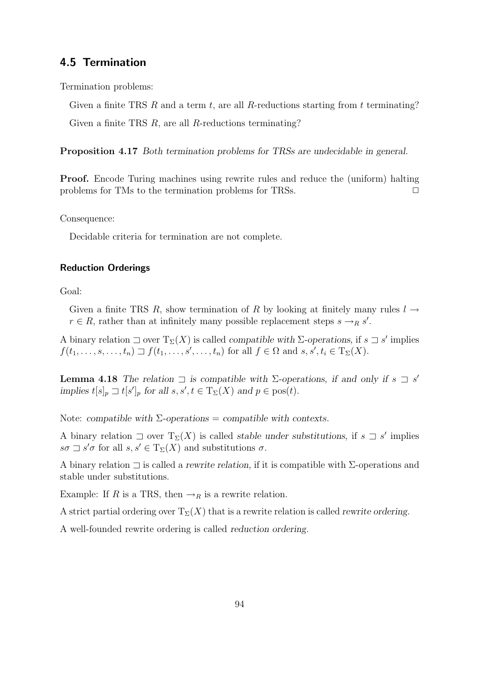# 4.5 Termination

Termination problems:

Given a finite TRS R and a term t, are all R-reductions starting from t terminating? Given a finite TRS R, are all R-reductions terminating?

Proposition 4.17 *Both termination problems for TRSs are undecidable in general.*

Proof. Encode Turing machines using rewrite rules and reduce the (uniform) halting problems for TMs to the termination problems for TRSs.  $\Box$ 

Consequence:

Decidable criteria for termination are not complete.

# Reduction Orderings

Goal:

Given a finite TRS R, show termination of R by looking at finitely many rules  $l \rightarrow$  $r \in R$ , rather than at infinitely many possible replacement steps  $s \rightarrow_R s'$ .

A binary relation  $\Box$  over  $T_{\Sigma}(X)$  is called *compatible with*  $\Sigma$ -operations, if  $s \Box s'$  implies  $f(t_1,\ldots,s,\ldots,t_n)\sqsupset f(t_1,\ldots,s',\ldots,t_n)$  for all  $f\in\Omega$  and  $s,s',t_i\in\mathrm{T}_\Sigma(X)$ .

**Lemma 4.18** *The relation*  $\exists$  *is compatible with*  $\Sigma$ -operations, if and only if  $s \exists s'$ *implies*  $t[s]_p \rightrightarrows t[s']_p$  *for all*  $s, s', t \in T_{\Sigma}(X)$  *and*  $p \in \text{pos}(t)$ *.* 

Note: *compatible with* Σ*-operations* = *compatible with contexts*.

A binary relation  $\Box$  over  $T_{\Sigma}(X)$  is called *stable under substitutions*, if  $s \Box s'$  implies  $s\sigma \sqsupset s'\sigma$  for all  $s, s' \in T_{\Sigma}(X)$  and substitutions  $\sigma$ .

A binary relation ⊐ is called a *rewrite relation,* if it is compatible with Σ-operations and stable under substitutions.

Example: If R is a TRS, then  $\rightarrow_R$  is a rewrite relation.

A strict partial ordering over  $T_\Sigma(X)$  that is a rewrite relation is called *rewrite ordering*.

A well-founded rewrite ordering is called *reduction ordering.*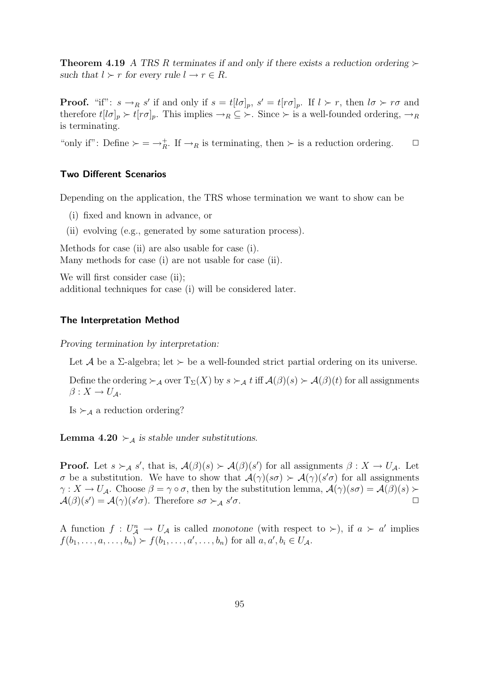**Theorem 4.19** *A TRS R terminates if and only if there exists a reduction ordering*  $\succ$ *such that*  $l > r$  *for every rule*  $l \rightarrow r \in R$ *.* 

**Proof.** "if":  $s \to_R s'$  if and only if  $s = t[l\sigma]_p$ ,  $s' = t[r\sigma]_p$ . If  $l \succ r$ , then  $l\sigma \succ r\sigma$  and therefore  $t[l\sigma]_p \succ t[r\sigma]_p$ . This implies  $\rightarrow_R \subseteq \succ$ . Since  $\succ$  is a well-founded ordering,  $\rightarrow_R$ is terminating.

"only if": Define  $\succ = \to_{R}^+$ . If  $\to_R$  is terminating, then  $\succ$  is a reduction ordering.  $\Box$ 

## Two Different Scenarios

Depending on the application, the TRS whose termination we want to show can be

- (i) fixed and known in advance, or
- (ii) evolving (e.g., generated by some saturation process).

Methods for case (ii) are also usable for case (i). Many methods for case (i) are not usable for case (ii).

We will first consider case (ii); additional techniques for case (i) will be considered later.

#### The Interpretation Method

*Proving termination by interpretation:*

Let A be a  $\Sigma$ -algebra; let  $\succ$  be a well-founded strict partial ordering on its universe.

Define the ordering  $\succ_{\mathcal{A}}$  over  $T_{\Sigma}(X)$  by  $s \succ_{\mathcal{A}} t$  iff  $\mathcal{A}(\beta)(s) \succ \mathcal{A}(\beta)(t)$  for all assignments  $\beta: X \to U_{\mathcal{A}}$ .

Is  $\succ_A$  a reduction ordering?

**Lemma 4.20**  $\succ_{\mathcal{A}}$  *is stable under substitutions.* 

**Proof.** Let  $s \succ_A s'$ , that is,  $\mathcal{A}(\beta)(s) \succ \mathcal{A}(\beta)(s')$  for all assignments  $\beta : X \to U_A$ . Let σ be a substitution. We have to show that  $\mathcal{A}(\gamma)(s\sigma) \succ \mathcal{A}(\gamma)(s'\sigma)$  for all assignments  $\gamma: X \to U_A$ . Choose  $\beta = \gamma \circ \sigma$ , then by the substitution lemma,  $\mathcal{A}(\gamma)(s\sigma) = \mathcal{A}(\beta)(s)$  $\mathcal{A}(\beta)(s') = \mathcal{A}(\gamma)(s'\sigma)$ . Therefore  $s\sigma \succ_{\mathcal{A}} s$  $\sigma$ .  $\Box$ 

A function  $f: U_A^n \to U_A$  is called *monotone* (with respect to  $\succ$ ), if  $a \succ a'$  implies  $f(b_1, ..., a, ..., b_n) > f(b_1, ..., a', ..., b_n)$  for all  $a, a', b_i \in U_A$ .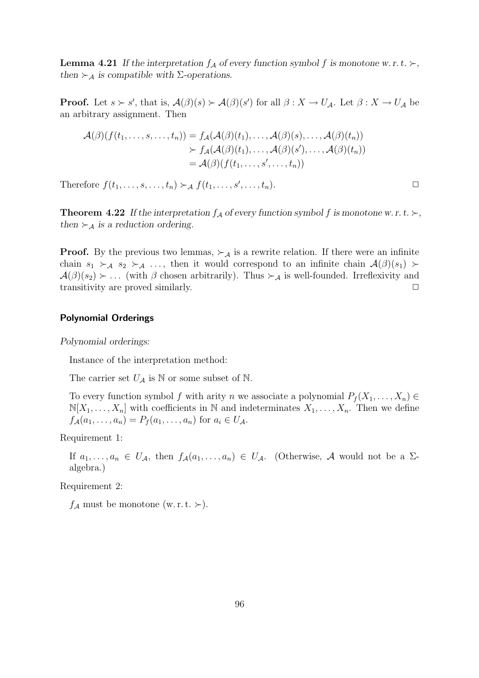**Lemma 4.21** If the interpretation  $f_A$  of every function symbol f is monotone w. r. t.  $\succ$ , *then*  $\succ_{\mathcal{A}}$  *is compatible with* Σ-operations.

**Proof.** Let  $s > s'$ , that is,  $\mathcal{A}(\beta)(s) > \mathcal{A}(\beta)(s')$  for all  $\beta : X \to U_{\mathcal{A}}$ . Let  $\beta : X \to U_{\mathcal{A}}$  be an arbitrary assignment. Then

$$
\mathcal{A}(\beta)(f(t_1,\ldots,s,\ldots,t_n)) = f_{\mathcal{A}}(\mathcal{A}(\beta)(t_1),\ldots,\mathcal{A}(\beta)(s),\ldots,\mathcal{A}(\beta)(t_n)) \n\succ f_{\mathcal{A}}(\mathcal{A}(\beta)(t_1),\ldots,\mathcal{A}(\beta)(s'),\ldots,\mathcal{A}(\beta)(t_n)) \n= \mathcal{A}(\beta)(f(t_1,\ldots,s',\ldots,t_n))
$$

Therefore  $f(t_1, \ldots, s, \ldots, t_n) \succ_{\mathcal{A}} f(t_1, \ldots, s', \ldots, t_n)$ .

**Theorem 4.22** If the interpretation  $f_A$  of every function symbol f is monotone w. r. t.  $\succ$ , *then*  $\succ_{\mathcal{A}}$  *is a reduction ordering.* 

**Proof.** By the previous two lemmas,  $\succ_A$  is a rewrite relation. If there were an infinite chain  $s_1 \succ_A s_2 \succ_A \ldots$ , then it would correspond to an infinite chain  $\mathcal{A}(\beta)(s_1)$  $\mathcal{A}(\beta)(s_2) \succ \ldots$  (with  $\beta$  chosen arbitrarily). Thus  $\succ_{\mathcal{A}}$  is well-founded. Irreflexivity and transitivity are proved similarly.  $\Box$ 

#### Polynomial Orderings

*Polynomial orderings:*

Instance of the interpretation method:

The carrier set  $U_A$  is N or some subset of N.

To every function symbol f with arity n we associate a polynomial  $P_f(X_1, \ldots, X_n) \in$  $\mathbb{N}[X_1,\ldots,X_n]$  with coefficients in N and indeterminates  $X_1,\ldots,X_n$ . Then we define  $f_{\mathcal{A}}(a_1, ..., a_n) = P_f(a_1, ..., a_n)$  for  $a_i \in U_{\mathcal{A}}$ .

Requirement 1:

If  $a_1, \ldots, a_n \in U_A$ , then  $f_A(a_1, \ldots, a_n) \in U_A$ . (Otherwise, A would not be a  $\Sigma$ algebra.)

Requirement 2:

 $f_{\mathcal{A}}$  must be monotone (w. r. t. ≻).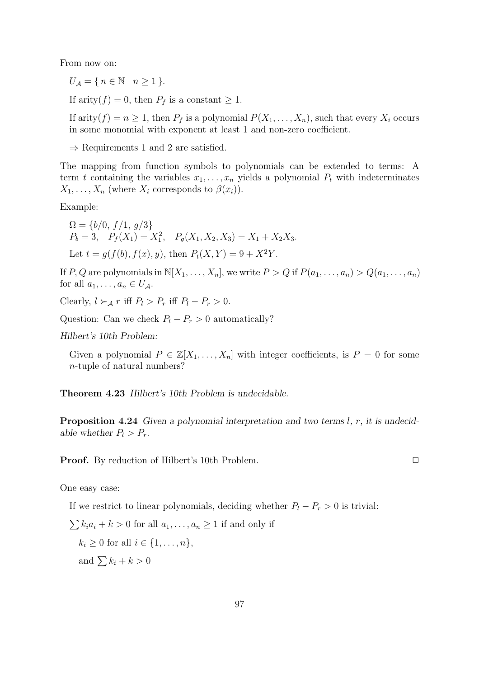From now on:

 $U_A = \{ n \in \mathbb{N} \mid n \geq 1 \}.$ 

If arity( $f$ ) = 0, then  $P_f$  is a constant  $\geq 1$ .

If arity(f) =  $n \geq 1$ , then  $P_f$  is a polynomial  $P(X_1, \ldots, X_n)$ , such that every  $X_i$  occurs in some monomial with exponent at least 1 and non-zero coefficient.

 $\Rightarrow$  Requirements 1 and 2 are satisfied.

The mapping from function symbols to polynomials can be extended to terms: A term t containing the variables  $x_1, \ldots, x_n$  yields a polynomial  $P_t$  with indeterminates  $X_1, \ldots, X_n$  (where  $X_i$  corresponds to  $\beta(x_i)$ ).

Example:

 $\Omega = \{b/0, f/1, g/3\}$  $P_b = 3$ ,  $P_f(X_1) = X_1^2$ ,  $P_g(X_1, X_2, X_3) = X_1 + X_2 X_3$ . Let  $t = q(f(b), f(x), y)$ , then  $P_t(X, Y) = 9 + X^2Y$ .

If P, Q are polynomials in  $\mathbb{N}[X_1, \ldots, X_n]$ , we write  $P > Q$  if  $P(a_1, \ldots, a_n) > Q(a_1, \ldots, a_n)$ for all  $a_1, \ldots, a_n \in U_A$ .

Clearly,  $l > A r$  iff  $P_l > P_r$  iff  $P_l - P_r > 0$ .

Question: Can we check  $P_l - P_r > 0$  automatically?

*Hilbert's 10th Problem:*

Given a polynomial  $P \in \mathbb{Z}[X_1,\ldots,X_n]$  with integer coefficients, is  $P = 0$  for some n-tuple of natural numbers?

Theorem 4.23 *Hilbert's 10th Problem is undecidable.*

Proposition 4.24 *Given a polynomial interpretation and two terms* l*,* r*, it is undecidable whether*  $P_l > P_r$ *.* 

**Proof.** By reduction of Hilbert's 10th Problem. □

One easy case:

If we restrict to linear polynomials, deciding whether  $P_l - P_r > 0$  is trivial:

 $\sum k_i a_i + k > 0$  for all  $a_1, \ldots, a_n \ge 1$  if and only if  $k_i \geq 0$  for all  $i \in \{1, \ldots, n\},$ and  $\sum k_i + k > 0$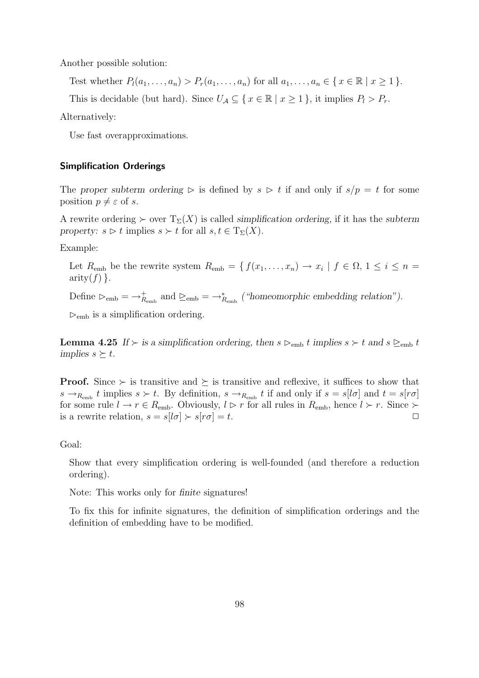Another possible solution:

Test whether  $P_l(a_1,\ldots,a_n) > P_r(a_1,\ldots,a_n)$  for all  $a_1,\ldots,a_n \in \{x \in \mathbb{R} \mid x \geq 1\}$ .

This is decidable (but hard). Since  $U_A \subseteq \{x \in \mathbb{R} \mid x \geq 1\}$ , it implies  $P_l > P_r$ .

Alternatively:

Use fast overapproximations.

## Simplification Orderings

The *proper subterm ordering* ⊳ is defined by  $s \geq t$  if and only if  $s/p = t$  for some position  $p \neq \varepsilon$  of s.

A rewrite ordering  $\succ$  over  $T_{\Sigma}(X)$  is called *simplification ordering*, if it has the *subterm property:*  $s \triangleright t$  implies  $s \succ t$  for all  $s, t \in T_{\Sigma}(X)$ .

Example:

Let  $R_{\text{emb}}$  be the rewrite system  $R_{\text{emb}} = \{f(x_1, \ldots, x_n) \to x_i \mid f \in \Omega, 1 \le i \le n = 1\}$  $arity(f)$ .

Define  $\triangleright_{\text{emb}} = \rightarrow_{R_{\text{emb}}}^{+}$  and  $\succeq_{\text{emb}} = \rightarrow_{R_{\text{emb}}}^{*}$  ("homeomorphic embedding relation").

 $\triangleright_{\text{emb}}$  is a simplification ordering.

**Lemma 4.25** *If* ≻ *is a simplification ordering, then*  $s \geq_{\text{emb}} t$  *implies*  $s \geq t$  *and*  $s \geq_{\text{emb}} t$ *implies*  $s \succeq t$ *.* 

**Proof.** Since  $\succ$  is transitive and  $\succeq$  is transitive and reflexive, it suffices to show that  $s \to_{R_{\text{emb}}} t$  implies  $s \succ t$ . By definition,  $s \to_{R_{\text{emb}}} t$  if and only if  $s = s[\sigma]$  and  $t = s[r\sigma]$ for some rule  $l \to r \in R_{\text{emb}}$ . Obviously,  $l \triangleright r$  for all rules in  $R_{\text{emb}}$ , hence  $l \succ r$ . Since  $\succ$ is a rewrite relation,  $s = s[l\sigma] \succ s[r\sigma] = t$ .

#### Goal:

Show that every simplification ordering is well-founded (and therefore a reduction ordering).

Note: This works only for *finite* signatures!

To fix this for infinite signatures, the definition of simplification orderings and the definition of embedding have to be modified.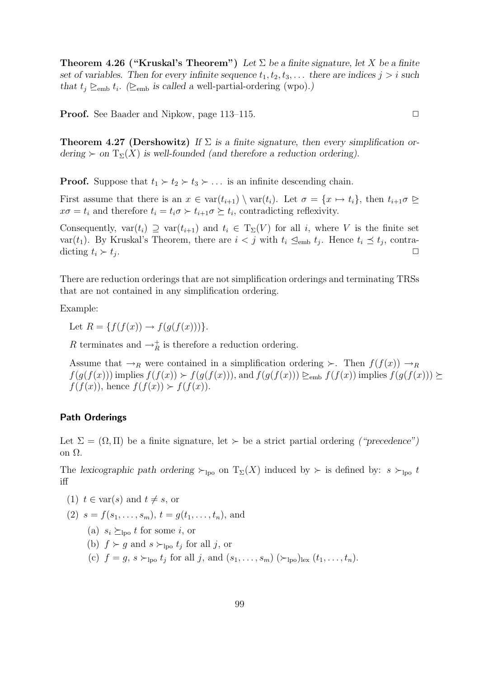Theorem 4.26 ("Kruskal's Theorem") *Let* Σ *be a finite signature, let* X *be a finite set of variables. Then for every infinite sequence*  $t_1, t_2, t_3, \ldots$  *there are indices*  $j > i$  *such* that  $t_j \geq_{emb} t_i$ . ( $\geq_{emb}$  *is called a* well-partial-ordering (wpo).)

**Proof.** See Baader and Nipkow, page 113–115. □

Theorem 4.27 (Dershowitz) *If* Σ *is a finite signature, then every simplification ordering*  $\succ$  *on*  $T_{\Sigma}(X)$  *is well-founded (and therefore a reduction ordering).* 

**Proof.** Suppose that  $t_1 \succ t_2 \succ t_3 \succ \ldots$  is an infinite descending chain.

First assume that there is an  $x \in \text{var}(t_{i+1}) \setminus \text{var}(t_i)$ . Let  $\sigma = \{x \mapsto t_i\}$ , then  $t_{i+1}\sigma \trianglerighteq$  $x\sigma = t_i$  and therefore  $t_i = t_i\sigma \succ t_{i+1}\sigma \succeq t_i$ , contradicting reflexivity.

Consequently,  $var(t_i) \supseteq var(t_{i+1})$  and  $t_i \in T_{\Sigma}(V)$  for all i, where V is the finite set var $(t_1)$ . By Kruskal's Theorem, there are  $i < j$  with  $t_i \leq_{\text{emb}} t_j$ . Hence  $t_i \leq t_j$ , contradicting  $t_i \succ t_j$ . . ✷

There are reduction orderings that are not simplification orderings and terminating TRSs that are not contained in any simplification ordering.

Example:

Let  $R = \{f(f(x)) \rightarrow f(g(f(x)))\}.$ 

R terminates and  $\rightarrow_R^+$  is therefore a reduction ordering.

Assume that  $\rightarrow_R$  were contained in a simplification ordering ≻. Then  $f(f(x)) \rightarrow_R$  $f(g(f(x)))$  implies  $f(f(x)) > f(g(f(x)))$ , and  $f(g(f(x))) \geq_{\text{emb}} f(f(x))$  implies  $f(g(f(x))) \geq$  $f(f(x))$ , hence  $f(f(x)) > f(f(x))$ .

### Path Orderings

Let  $\Sigma = (\Omega, \Pi)$  be a finite signature, let  $\succ$  be a strict partial ordering *("precedence")* on Ω.

The *lexicographic path ordering* ≻<sub>lpo</sub> on  $T_{\Sigma}(X)$  induced by ≻ is defined by:  $s \succ_{\text{lpo}} t$ iff

- (1)  $t \in \text{var}(s)$  and  $t \neq s$ , or
- (2)  $s = f(s_1, \ldots, s_m)$ ,  $t = q(t_1, \ldots, t_n)$ , and
	- (a)  $s_i \succeq_{\text{lpo}} t$  for some i, or
	- (b)  $f \succ g$  and  $s \succ_{\text{lpo}} t_j$  for all j, or
	- (c)  $f = g, s \succ_{\text{lpo}} t_j \text{ for all } j, \text{ and } (s_1, \ldots, s_m) \; (\succ_{\text{lpo}})_{\text{lex}} (t_1, \ldots, t_n).$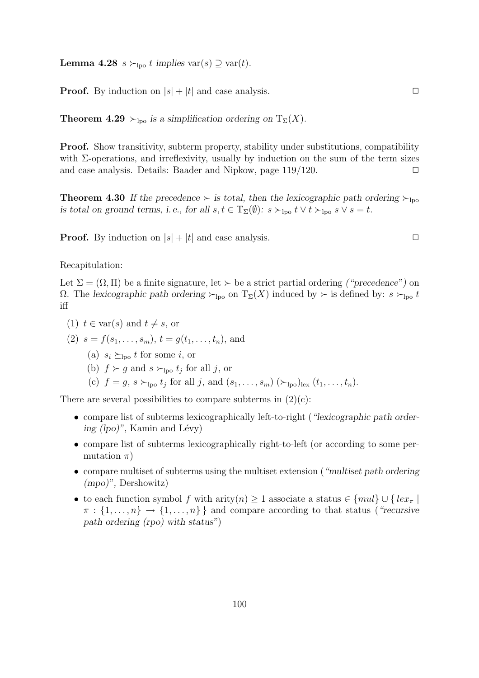**Lemma 4.28** s ≻<sub>lpo</sub> t implies var(s)  $\supseteq$  var(t).

**Proof.** By induction on  $|s| + |t|$  and case analysis.  $\Box$ 

**Theorem 4.29**  $\succ_{\text{loo}}$  *is a simplification ordering on*  $T_{\Sigma}(X)$ *.* 

**Proof.** Show transitivity, subterm property, stability under substitutions, compatibility with  $\Sigma$ -operations, and irreflexivity, usually by induction on the sum of the term sizes and case analysis. Details: Baader and Nipkow, page  $119/120$ .  $\Box$ 

**Theorem 4.30** If the precedence ≻ is total, then the lexicographic path ordering  $\succ_{\text{loo}}$ *is total on ground terms, i.e., for all*  $s, t \in T_{\Sigma}(\emptyset)$ *:*  $s \succ_{\text{loo}} t \vee t \succ_{\text{loo}} s \vee s = t$ .

**Proof.** By induction on  $|s| + |t|$  and case analysis.

Recapitulation:

Let  $\Sigma = (\Omega, \Pi)$  be a finite signature, let  $\succ$  be a strict partial ordering *("precedence")* on Ω. The *lexicographic path ordering* ≻<sub>lpo</sub> on  $T_Σ(X)$  induced by ≻ is defined by:  $s$  ≻<sub>lpo</sub> t iff

- (1)  $t \in \text{var}(s)$  and  $t \neq s$ , or
- (2)  $s = f(s_1, \ldots, s_m)$ ,  $t = q(t_1, \ldots, t_n)$ , and
	- (a)  $s_i \succeq_{\text{loo}} t$  for some i, or
	- (b)  $f \succ g$  and  $s \succ_{\text{lpo}} t_j$  for all j, or
	- (c)  $f = g, s \succ_{\text{Ipo}} t_j$  for all j, and  $(s_1, \ldots, s_m)$   $(\succ_{\text{Ipo}})_{\text{lex}} (t_1, \ldots, t_n)$ .

There are several possibilities to compare subterms in  $(2)(c)$ :

- compare list of subterms lexicographically left-to-right (*"lexicographic path ordering (lpo)*", Kamin and Lévy)
- compare list of subterms lexicographically right-to-left (or according to some permutation  $\pi$ )
- compare multiset of subterms using the multiset extension (*"multiset path ordering (mpo)",* Dershowitz)
- to each function symbol f with arity $(n) > 1$  associate a status  $\in \{mul\} \cup \{lex_{\pi} \mid$  $\pi : \{1, \ldots, n\} \rightarrow \{1, \ldots, n\}$  and compare according to that status (*"recursive path ordering (rpo) with status"*)